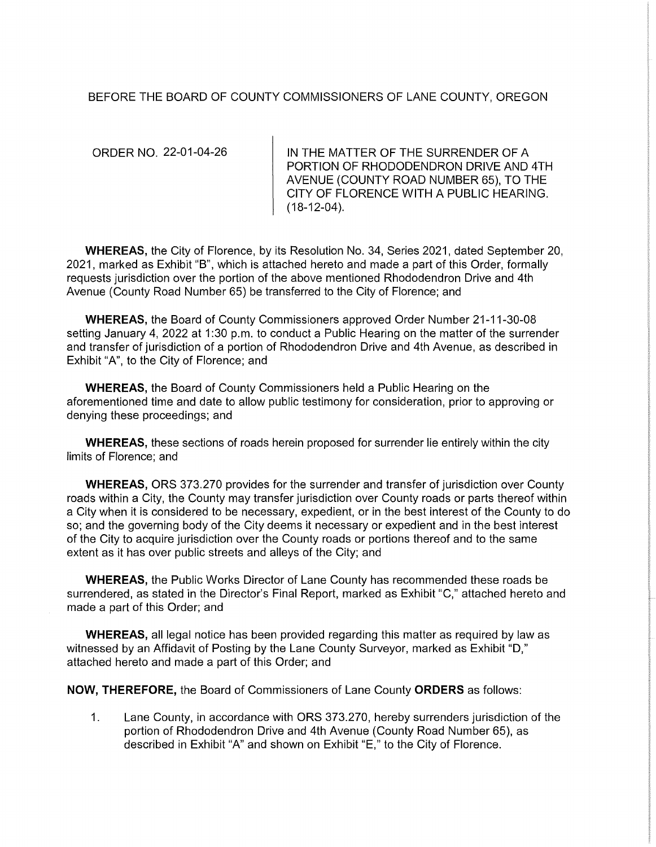## BEFORE THE BOARD OF COUNTY COMMISSIONERS OF LANE COUNTY, OREGON

ORDER NO. 22-01-04-26

IN THE MATTER OF THE SURRENDER OF A PORTION OF RHODODENDRON DRIVE AND 4TH AVENUE (COUNTY ROAD NUMBER 65), TO THE CITY OF FLORENCE WITH A PUBLIC HEARING. (18-12-04).

WHEREAS, the City of Florence, by its Resolution No. 34, Series 2021, dated September 20, 2021, marked as Exhibit "B", which is attached hereto and made a part of this Order, formally requests jurisdiction over the portion of the above mentioned Rhododendron Drive and 4th Avenue (County Road Number 65) be transferred to the City of Florence; and

WHEREAS, the Board of County Commissioners approved Order Number 21-11-30-08 setting January 4, 2022 at 1:30 p.m. to conduct a Public Hearing on the matter of the surrender and transfer of jurisdiction of a portion of Rhododendron Drive and 4th Avenue, as described in Exhibit "A", to the City of Florence; and

**WHEREAS,** the Board of County Commissioners held a Public Hearing on the aforementioned time and date to allow public testimony for consideration, prior to approving or denying these proceedings; and

**WHEREAS,** these sections of roads herein proposed for surrender lie entirely within the city limits of Florence; and

**WHEREAS,** ORS 373.270 provides for the surrender and transfer of jurisdiction over County roads within a City, the County may transfer jurisdiction over County roads or parts thereof within a City when it is considered to be necessary, expedient, or in the best interest of the County to do so; and the governing body of the City deems it necessary or expedient and in the best interest of the City to acquire jurisdiction over the County roads or portions thereof and to the same extent as it has over public streets and alleys of the City; and

**WHEREAS,** the Public Works Director of Lane County has recommended these roads be surrendered, as stated in the Director's Final Report, marked as Exhibit "C," attached hereto and made a part of this Order; and

**WHEREAS,** all legal notice has been provided regarding this matter as required by law as witnessed by an Affidavit of Posting by the Lane County Surveyor, marked as Exhibit "D," attached hereto and made a part of this Order; and

**NOW, THEREFORE,** the Board of Commissioners of Lane County **ORDERS** as follows:

1. Lane County, in accordance with ORS 373.270, hereby surrenders jurisdiction of the portion of Rhododendron Drive and 4th Avenue (County Road Number 65), as described in Exhibit "A" and shown on Exhibit "E," to the City of Florence.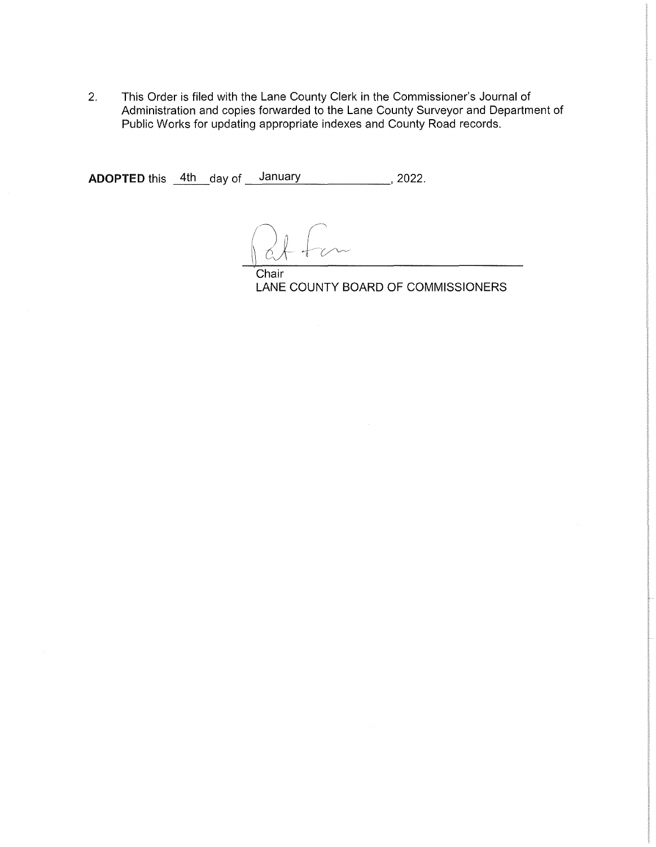2. This Order is filed with the Lane County Clerk in the Commissioner's Journal of Administration and copies forwarded to the Lane County Surveyor and Department of Public Works for updating appropriate indexes and County Road records.

**ADOPTED** this <u>\_4th \_</u>day of \_\_\_January \_\_\_\_\_\_\_\_\_\_\_\_\_\_\_\_, 2022.

Chair LANE COUNTY BOARD OF COMMISSIONERS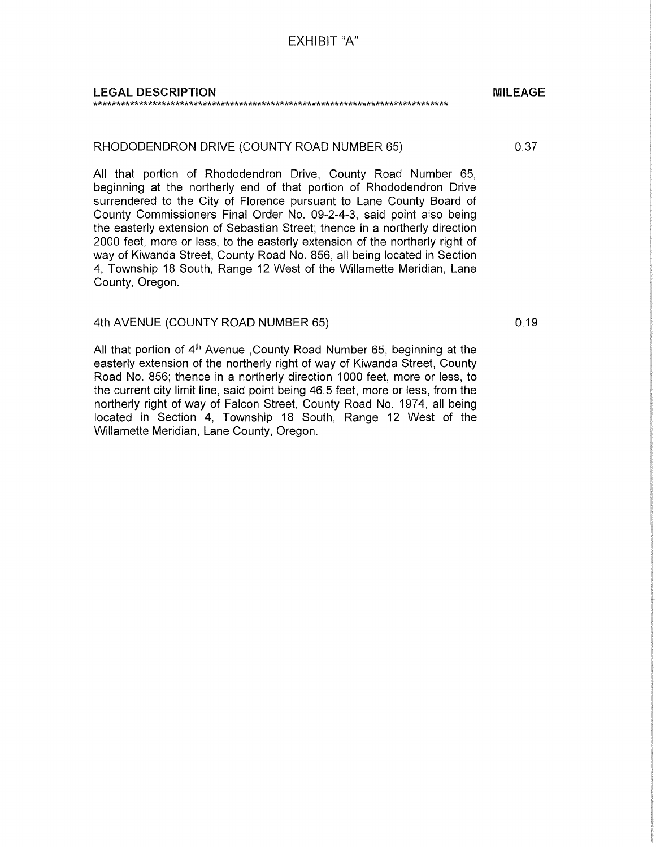EXHIBIT "A"

#### LEGAL DESCRIPTION \*\*\*\*\*\*\*\*\*\*\*\*\*\*\*\*\*\*\*\*\*\*\*\*\*\*\*\*\*\*\*\*\*\*\*\*\*\*\*\*\*\*\*\*\*\*\*\*\*\*\*\*\*\*\*\*\*\*\*\*\*\*\*\*\*\*\*\*\*\*\*\*\*\*\*\*\*\*

#### RHODODENDRON DRIVE (COUNTY ROAD NUMBER 65)

All that portion of Rhododendron Drive, County Road Number 65, beginning at the northerly end of that portion of Rhododendron Drive surrendered to the City of Florence pursuant to Lane County Board of County Commissioners Final Order No. 09-2-4-3, said point also being the easterly extension of Sebastian Street; thence in a northerly direction 2000 feet, more or less, to the easterly extension of the northerly right of way of Kiwanda Street, County Road No. 856, all being located in Section 4, Township 18 South, Range 12 West of the Willamette Meridian, Lane County, Oregon.

### 4th AVENUE (COUNTY ROAD NUMBER 65)

All that portion of  $4<sup>th</sup>$  Avenue , County Road Number 65, beginning at the easterly extension of the northerly right of way of Kiwanda Street, County Road No. 856; thence in a northerly direction 1000 feet, more or less, to the current city limit line, said point being 46.5 feet, more or less, from the northerly right of way of Falcon Street, County Road No. 1974, all being located in Section 4, Township 18 South, Range 12 West of the Willamette Meridian, Lane County, Oregon.

0.19

MILEAGE

0.37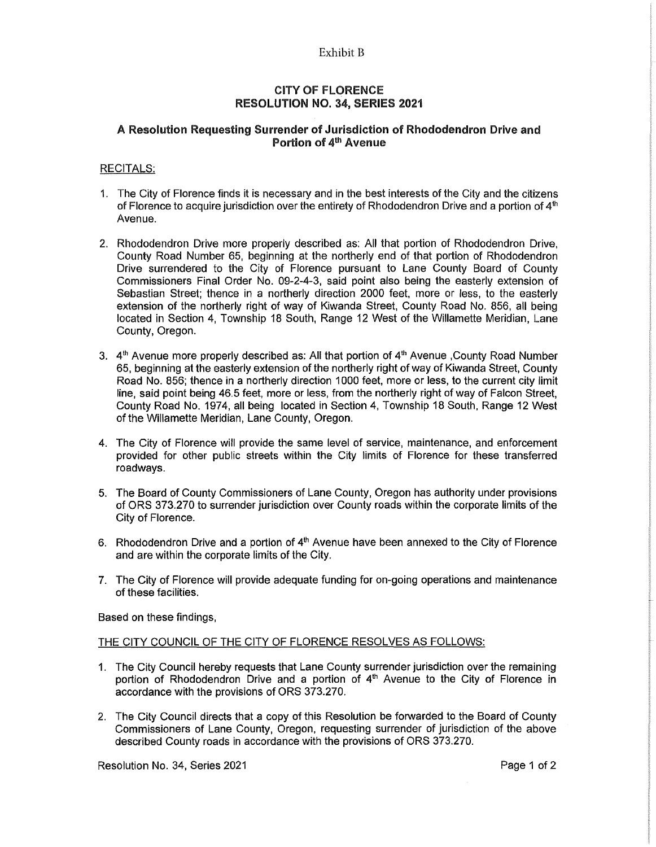#### Exhibit B

### CITY OF FLORENCE RESOLUTION NO. 34, SERIES 2021

## A Resolution Requesting Surrender of Jurisdiction of Rhododendron Drive and Portion of 4<sup>th</sup> Avenue

#### RECITALS:

- 1. The City of Florence finds it is necessary and in the best interests of the City and the citizens of Florence to acquire jurisdiction over the entirety of Rhododendron Drive and a portion of  $4<sup>th</sup>$ Avenue.
- 2. Rhododendron Drive more properly described as: All that portion of Rhododendron Drive, County Road Number 65, beginning at the northerly end of that portion of Rhododendron Drive surrendered to the City of Florence pursuant to Lane County Board of County Commissioners Final Order No. 09-2-4-3, said point also being the easterly extension of Sebastian Street; thence in a northerly direction 2000 feet, more or less, to the easterly extension of the northerly right of way of Kiwanda Street, County Road No. 856, all being located in Section 4, Township 18 South, Range 12 West of the Willamette Meridian, Lane County, Oregon.
- 3.  $4<sup>th</sup>$  Avenue more properly described as: All that portion of  $4<sup>th</sup>$  Avenue ,County Road Number 65, beginning at the easterly extension of the northerly right of way of Kiwanda Street, County Road No. 856; thence in a northerly direction 1000 feet, more or less, to the current city limit line, said point being 46.5 feet, more or less, from the northerly right of way of Falcon Street, County Road No. 1974, all being located in Section 4, Township 18 South, Range 12 West of the Willamette Meridian, Lane County, Oregon.
- 4. The City of Florence will provide the same level of service, maintenance, and enforcement provided for other public streets within the City limits of Florence for these transferred roadways.
- 5. The Board of County Commissioners of Lane County, Oregon has authority under provisions of ORS 373.270 to surrender jurisdiction over County roads within the corporate limits of the City of Florence.
- 6. Rhododendron Drive and a portion of  $4<sup>th</sup>$  Avenue have been annexed to the City of Florence and are within the corporate limits of the City.
- 7. The City of Florence will provide adequate funding for on-going operations and maintenance of these facilities.

Based on these findings,

#### THE CITY COUNCIL OF THE CITY OF FLORENCE RESOLVES AS FOLLOWS:

- 1. The City Council hereby requests that Lane County surrender jurisdiction over the remaining portion of Rhododendron Drive and a portion of  $4<sup>th</sup>$  Avenue to the City of Florence in accordance with the provisions of ORS 373.270.
- 2. The City Council directs that a copy of this Resolution be forwarded to the Board of County Commissioners of Lane County, Oregon, requesting surrender of jurisdiction of the above described County roads in accordance with the provisions of ORS 373.270.

Resolution No. 34, Series 2021 **Page 1of 2** Page 1 of 2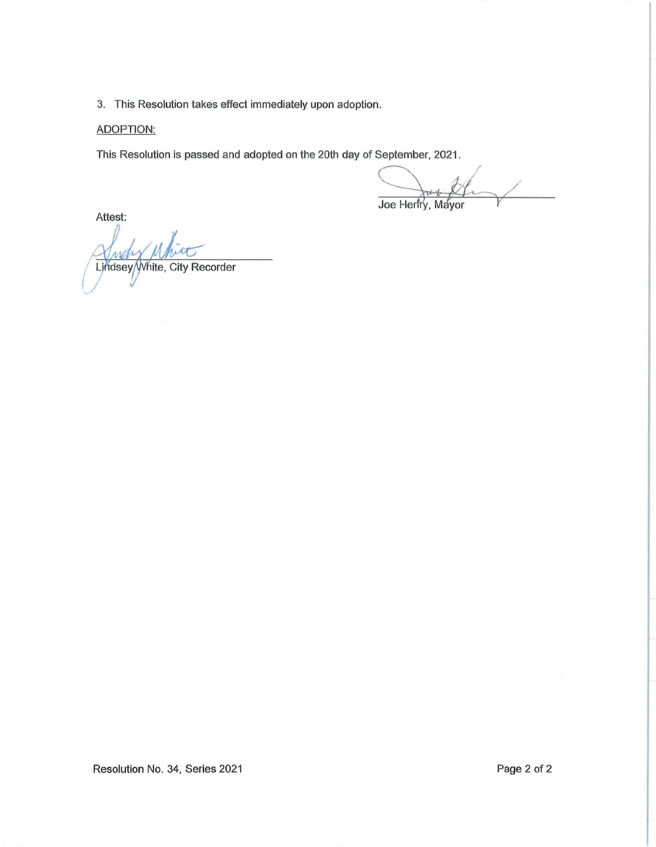3. This Resolution takes effect immediately upon adoption.

# ADOPTION:

This Resolution is passed and adopted on the 20th day of September, 2021.

September, 2021.<br>Joe Henry, Mayor

Attest:

سی ایران<br>ite, City Recorder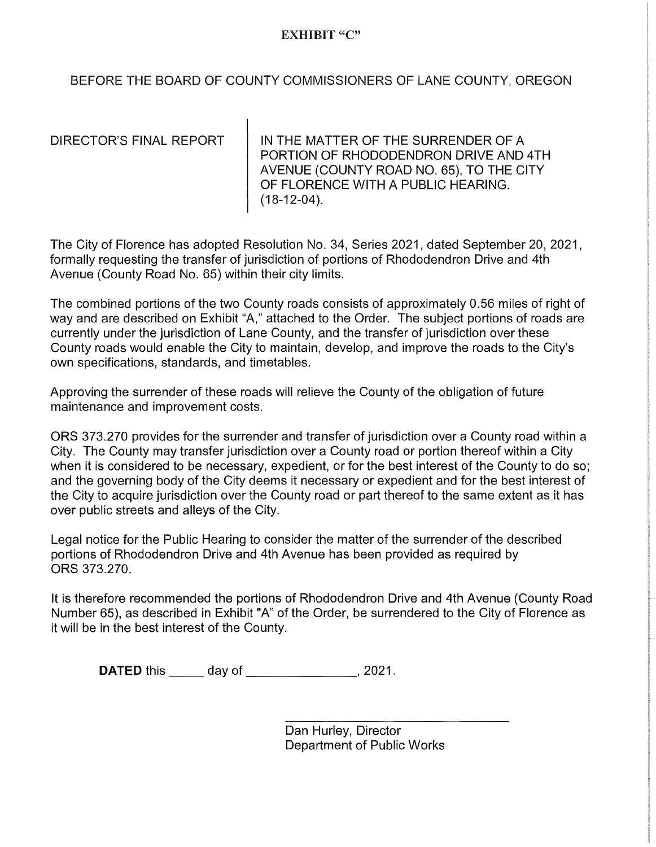## EXHIBIT "C"

BEFORE THE BOARD OF COUNTY COMMISSIONERS OF LANE COUNTY, OREGON

DIRECTOR'S FINAL REPORT | IN THE MATTER OF THE SURRENDER OF A PORTION OF RHODODENDRON DRIVE AND 4TH AVENUE (COUNTY ROAD NO. 65), TO THE CITY OF FLORENCE WITH A PUBLIC HEARING. (18-12-04).

The City of Florence has adopted Resolution No. 34, Series 2021, dated September 20, 2021, formally requesting the transfer of jurisdiction of portions of Rhododendron Drive and 4th Avenue (County Road No. 65) within their city limits.

The combined portions of the two County roads consists of approximately 0.56 miles of right of way and are described on Exhibit "A," attached to the Order. The subject portions of roads are currently under the jurisdiction of Lane County, and the transfer of jurisdiction over these County roads would enable the City to maintain, develop, and improve the roads to the City's own specifications, standards, and timetables.

Approving the surrender of these roads will relieve the County of the obligation of future maintenance and improvement costs.

ORS 373.270 provides for the surrender and transfer of jurisdiction over a County road within a City. The County may transfer jurisdiction over a County road or portion thereof within a City when it is considered to be necessary, expedient, or for the best interest of the County to do so; and the governing body of the City deems it necessary or expedient and for the best interest of the City to acquire jurisdiction over the County road or part thereof to the same extent as it has over public streets and alleys of the City.

Legal notice for the Public Hearing to consider the matter of the surrender of the described portions of Rhododendron Drive and 4th Avenue has been provided as required by ORS 373.270.

It is therefore recommended the portions of Rhododendron Drive and 4th Avenue (County Road Number 65), as described in Exhibit "A" of the Order, be surrendered to the City of Florence as it will be in the best interest of the County.

**DATED** this day of \_\_\_\_\_\_\_\_\_\_\_\_\_\_, 2021.

Dan Hurley, Director Department of Public Works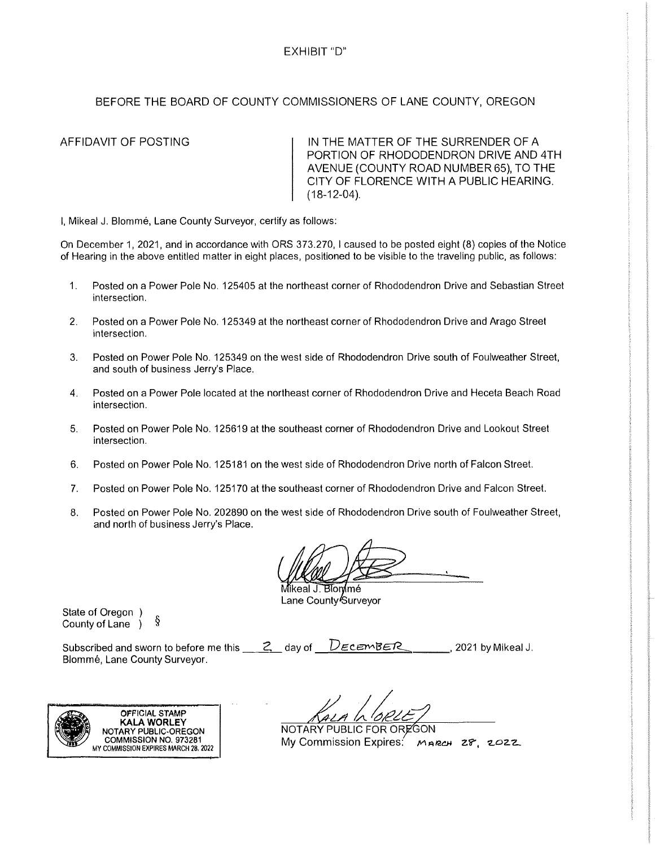## BEFORE THE BOARD OF COUNTY COMMISSIONERS OF LANE COUNTY, OREGON

AFFIDAVIT OF POSTING **IN THE MATTER OF THE SURRENDER OF A** PORTION OF RHODODENDRON DRIVE AND 4TH AVENUE (COUNTY ROAD NUMBER 65), TO THE CITY OF FLORENCE WITH A PUBLIC HEARING.  $(18-12-04)$ .

I, Mikeal J. Blomme, Lane County Surveyor, certify as follows:

On December 1, 2021, and in accordance with ORS 373.270, I caused to be posted eight (8) copies of the Notice of Hearing in the above entitled matter in eight places, positioned to be visible to the traveling public, as follows:

- 1. Posted on a Power Pole No. 125405 at the northeast corner of Rhododendron Drive and Sebastian Street intersection.
- 2. Posted on a Power Pole No. 125349 at the northeast corner of Rhododendron Drive and Arago Street intersection.
- 3. Posted on Power Pole No. 125349 on the west side of Rhododendron Drive south of Foulweather Street, and south of business Jerry's Place.
- 4. Posted on a Power Pole located at the northeast corner of Rhododendron Drive and Heceta Beach Road intersection.
- 5. Posted on Power Pole No. 125619 at the southeast corner of Rhododendron Drive and Lookout Street intersection.
- 6. Posted on Power Pole No. 125181 on the west side of Rhododendron Drive north of Falcon Street.
- 7. Posted on Power Pole No. 125170 at the southeast corner of Rhododendron Drive and Falcon Street.
- 8. Posted on Power Pole No. 202890 on the west side of Rhododendron Drive south of Foulweather Street, and north of business Jerry's Place.

Mikeal J. Blon mé Lane County<sup>k</sup>Surveyor

State of Oregon  $\int$  County of Lane  $\int$   $\frac{8}{3}$ County of Lane )

Subscribed and sworn to before me this <u>2.</u> day of *DECEMBER*<br>Blommé, Lane County Surveyor.

, 2021 by Mikeal J.



NOTARY PUBLIC FOR OR  $Mv$  Commission Expires:  $Mn$ <sub>RCH</sub>  $28.22$